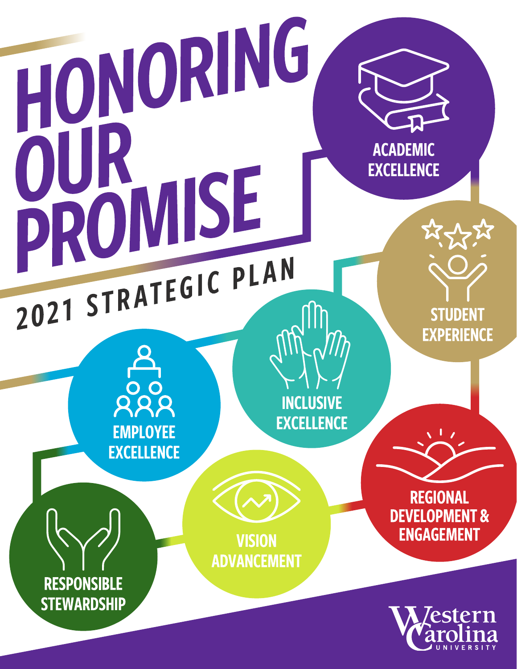